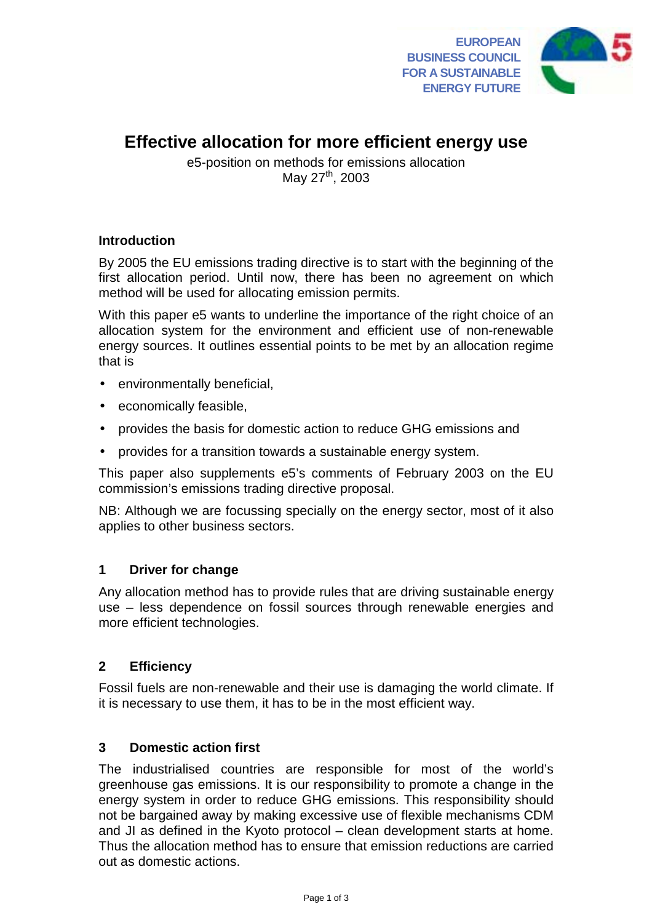

# **Effective allocation for more efficient energy use**

e5-position on methods for emissions allocation May 27<sup>th</sup>, 2003

# **Introduction**

By 2005 the EU emissions trading directive is to start with the beginning of the first allocation period. Until now, there has been no agreement on which method will be used for allocating emission permits.

With this paper e5 wants to underline the importance of the right choice of an allocation system for the environment and efficient use of non-renewable energy sources. It outlines essential points to be met by an allocation regime that is

- environmentally beneficial,
- economically feasible,
- provides the basis for domestic action to reduce GHG emissions and
- provides for a transition towards a sustainable energy system.

This paper also supplements e5's comments of February 2003 on the EU commission's emissions trading directive proposal.

NB: Although we are focussing specially on the energy sector, most of it also applies to other business sectors.

# **1 Driver for change**

Any allocation method has to provide rules that are driving sustainable energy use – less dependence on fossil sources through renewable energies and more efficient technologies.

# **2 Efficiency**

Fossil fuels are non-renewable and their use is damaging the world climate. If it is necessary to use them, it has to be in the most efficient way.

# **3 Domestic action first**

The industrialised countries are responsible for most of the world's greenhouse gas emissions. It is our responsibility to promote a change in the energy system in order to reduce GHG emissions. This responsibility should not be bargained away by making excessive use of flexible mechanisms CDM and JI as defined in the Kyoto protocol – clean development starts at home. Thus the allocation method has to ensure that emission reductions are carried out as domestic actions.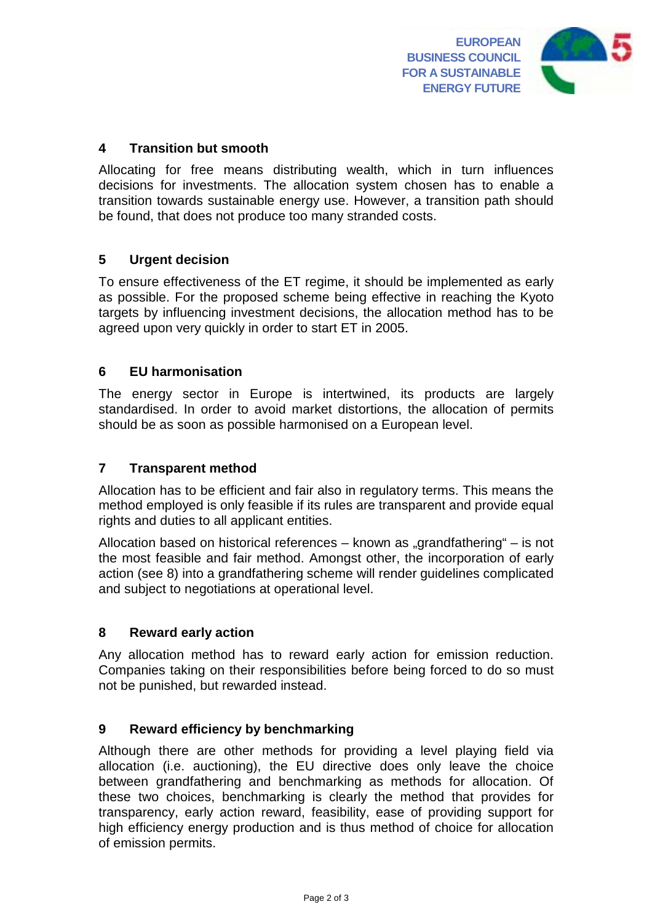

## **4 Transition but smooth**

Allocating for free means distributing wealth, which in turn influences decisions for investments. The allocation system chosen has to enable a transition towards sustainable energy use. However, a transition path should be found, that does not produce too many stranded costs.

### **5 Urgent decision**

To ensure effectiveness of the ET regime, it should be implemented as early as possible. For the proposed scheme being effective in reaching the Kyoto targets by influencing investment decisions, the allocation method has to be agreed upon very quickly in order to start ET in 2005.

### **6 EU harmonisation**

The energy sector in Europe is intertwined, its products are largely standardised. In order to avoid market distortions, the allocation of permits should be as soon as possible harmonised on a European level.

#### **7 Transparent method**

Allocation has to be efficient and fair also in regulatory terms. This means the method employed is only feasible if its rules are transparent and provide equal rights and duties to all applicant entities.

Allocation based on historical references – known as "grandfathering" – is not the most feasible and fair method. Amongst other, the incorporation of early action (see 8) into a grandfathering scheme will render guidelines complicated and subject to negotiations at operational level.

#### **8 Reward early action**

Any allocation method has to reward early action for emission reduction. Companies taking on their responsibilities before being forced to do so must not be punished, but rewarded instead.

# **9 Reward efficiency by benchmarking**

Although there are other methods for providing a level playing field via allocation (i.e. auctioning), the EU directive does only leave the choice between grandfathering and benchmarking as methods for allocation. Of these two choices, benchmarking is clearly the method that provides for transparency, early action reward, feasibility, ease of providing support for high efficiency energy production and is thus method of choice for allocation of emission permits.